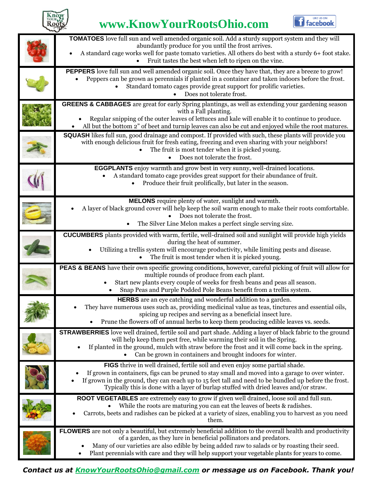

### **www.KnowYourRootsOhio.com**



| TOMATOES love full sun and well amended organic soil. Add a sturdy support system and they will<br>abundantly produce for you until the frost arrives.<br>A standard cage works well for paste tomato varieties. All others do best with a sturdy 6+ foot stake.<br>Fruit tastes the best when left to ripen on the vine.                                                           |
|-------------------------------------------------------------------------------------------------------------------------------------------------------------------------------------------------------------------------------------------------------------------------------------------------------------------------------------------------------------------------------------|
| PEPPERS love full sun and well amended organic soil. Once they have that, they are a breeze to grow!<br>Peppers can be grown as perennials if planted in a container and taken indoors before the frost.<br>Standard tomato cages provide great support for prolific varieties.<br>Does not tolerate frost.                                                                         |
| <b>GREENS &amp; CABBAGES</b> are great for early Spring plantings, as well as extending your gardening season<br>with a Fall planting.<br>Regular snipping of the outer leaves of lettuces and kale will enable it to continue to produce.<br>All but the bottom 2" of beet and turnip leaves can also be cut and enjoyed while the root matures.                                   |
| SQUASH likes full sun, good drainage and compost. If provided with such, these plants will provide you<br>with enough delicious fruit for fresh eating, freezing and even sharing with your neighbors!<br>The fruit is most tender when it is picked young.<br>Does not tolerate the frost.                                                                                         |
| <b>EGGPLANTS</b> enjoy warmth and grow best in very sunny, well-drained locations.<br>A standard tomato cage provides great support for their abundance of fruit.<br>Produce their fruit prolifically, but later in the season.                                                                                                                                                     |
| MELONS require plenty of water, sunlight and warmth.<br>A layer of black ground cover will help keep the soil warm enough to make their roots comfortable.<br>Does not tolerate the frost.<br>The Silver Line Melon makes a perfect single serving size.                                                                                                                            |
| <b>CUCUMBERS</b> plants provided with warm, fertile, well-drained soil and sunlight will provide high yields<br>during the heat of summer.<br>Utilizing a trellis system will encourage productivity, while limiting pests and disease.<br>The fruit is most tender when it is picked young.                                                                                        |
| PEAS & BEANS have their own specific growing conditions, however, careful picking of fruit will allow for<br>multiple rounds of produce from each plant.<br>Start new plants every couple of weeks for fresh beans and peas all season.<br>Snap Peas and Purple Podded Pole Beans benefit from a trellis system.                                                                    |
| HERBS are an eye catching and wonderful addition to a garden.<br>They have numerous uses such as, providing medicinal value as teas, tinctures and essential oils,<br>spicing up recipes and serving as a beneficial insect lure.<br>Prune the flowers off of annual herbs to keep them producing edible leaves vs. seeds.                                                          |
| <b>STRAWBERRIES</b> love well drained, fertile soil and part shade. Adding a layer of black fabric to the ground<br>will help keep them pest free, while warming their soil in the Spring.<br>If planted in the ground, mulch with straw before the frost and it will come back in the spring.<br>Can be grown in containers and brought indoors for winter.                        |
| FIGS thrive in well drained, fertile soil and even enjoy some partial shade.<br>If grown in containers, figs can be pruned to stay small and moved into a garage to over winter.<br>If grown in the ground, they can reach up to 15 feet tall and need to be bundled up before the frost.<br>Typically this is done with a layer of burlap stuffed with dried leaves and/or straw.  |
| ROOT VEGETABLES are extremely easy to grow if given well drained, loose soil and full sun.<br>While the roots are maturing you can eat the leaves of beets & radishes.<br>Carrots, beets and radishes can be picked at a variety of sizes, enabling you to harvest as you need<br>them.                                                                                             |
| FLOWERS are not only a beautiful, but extremely beneficial addition to the overall health and productivity<br>of a garden, as they lure in beneficial pollinators and predators.<br>Many of our varieties are also edible by being added raw to salads or by roasting their seed.<br>Plant perennials with care and they will help support your vegetable plants for years to come. |

*Contact us at [KnowYourRootsOhio@gmail.com](mailto:KnowYourRootsOhio@gmail.com) or message us on Facebook. Thank you!*